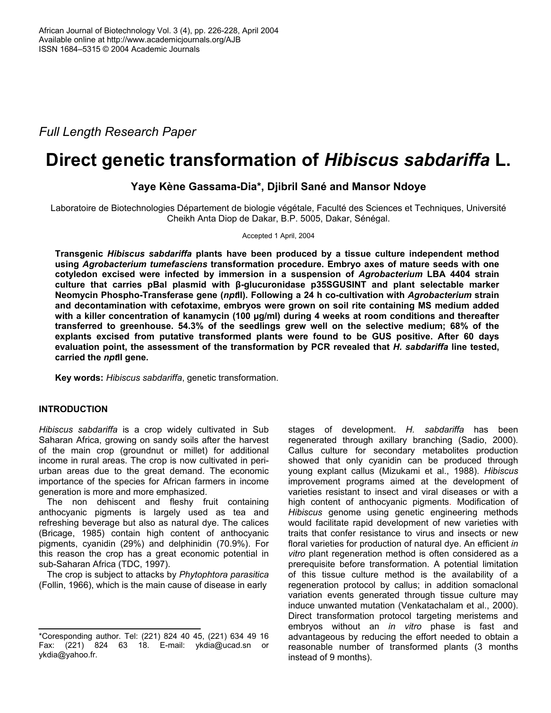*Full Length Research Paper* 

# **Direct genetic transformation of** *Hibiscus sabdariffa* **L.**

## **Yaye Kène Gassama-Dia\*, Djibril Sané and Mansor Ndoye**

Laboratoire de Biotechnologies Département de biologie végétale, Faculté des Sciences et Techniques, Université Cheikh Anta Diop de Dakar, B.P. 5005, Dakar, Sénégal.

Accepted 1 April, 2004

**Transgenic** *Hibiscus sabdariffa* **plants have been produced by a tissue culture independent method using** *Agrobacterium tumefasciens* **transformation procedure. Embryo axes of mature seeds with one cotyledon excised were infected by immersion in a suspension of** *Agrobacterium* **LBA 4404 strain culture that carries pBal plasmid with β-glucuronidase p35SGUSINT and plant selectable marker Neomycin Phospho-Transferase gene (***npt***II). Following a 24 h co-cultivation with** *Agrobacterium* **strain and decontamination with cefotaxime, embryos were grown on soil rite containing MS medium added with a killer concentration of kanamycin (100 µg/ml) during 4 weeks at room conditions and thereafter transferred to greenhouse. 54.3% of the seedlings grew well on the selective medium; 68% of the explants excised from putative transformed plants were found to be GUS positive. After 60 days evaluation point, the assessment of the transformation by PCR revealed that** *H. sabdariffa* **line tested, carried the** *npt***II gene.** 

**Key words:** *Hibiscus sabdariffa*, genetic transformation.

## **INTRODUCTION**

*Hibiscus sabdariffa* is a crop widely cultivated in Sub Saharan Africa, growing on sandy soils after the harvest of the main crop (groundnut or millet) for additional income in rural areas. The crop is now cultivated in periurban areas due to the great demand. The economic importance of the species for African farmers in income generation is more and more emphasized.

The non dehiscent and fleshy fruit containing anthocyanic pigments is largely used as tea and refreshing beverage but also as natural dye. The calices (Bricage, 1985) contain high content of anthocyanic pigments, cyanidin (29%) and delphinidin (70.9%). For this reason the crop has a great economic potential in sub-Saharan Africa (TDC, 1997).

The crop is subject to attacks by *Phytophtora parasitica* (Follin, 1966), which is the main cause of disease in early

stages of development. *H. sabdariffa* has been regenerated through axillary branching (Sadio, 2000). Callus culture for secondary metabolites production showed that only cyanidin can be produced through young explant callus (Mizukami et al., 1988). *Hibiscus*  improvement programs aimed at the development of varieties resistant to insect and viral diseases or with a high content of anthocyanic pigments. Modification of *Hibiscus* genome using genetic engineering methods would facilitate rapid development of new varieties with traits that confer resistance to virus and insects or new floral varieties for production of natural dye. An efficient *in vitro* plant regeneration method is often considered as a prerequisite before transformation. A potential limitation of this tissue culture method is the availability of a regeneration protocol by callus; in addition somaclonal variation events generated through tissue culture may induce unwanted mutation (Venkatachalam et al., 2000). Direct transformation protocol targeting meristems and embryos without an *in vitro* phase is fast and advantageous by reducing the effort needed to obtain a reasonable number of transformed plants (3 months instead of 9 months).

<sup>\*</sup>Coresponding author. Tel: (221) 824 40 45, (221) 634 49 16 Fax: (221) 824 63 18. E-mail: ykdia@ucad.sn or ykdia@yahoo.fr.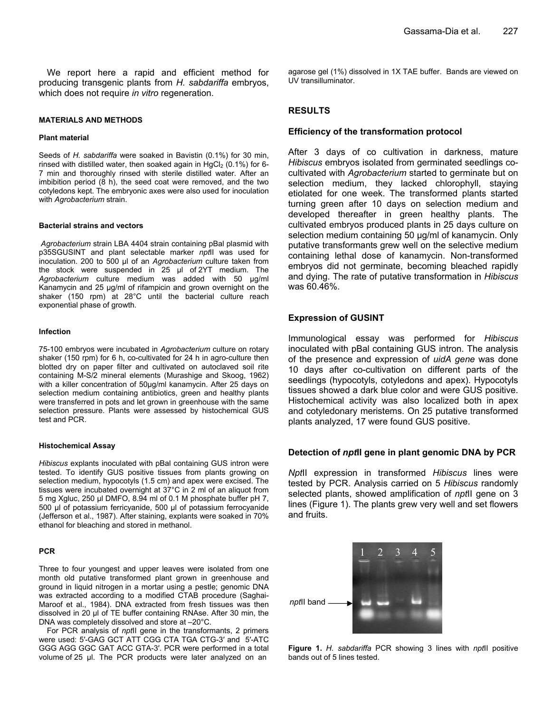We report here a rapid and efficient method for producing transgenic plants from *H. sabdariffa* embryos, which does not require *in vitro* regeneration.

#### **MATERIALS AND METHODS**

#### **Plant material**

Seeds of *H. sabdariffa* were soaked in Bavistin (0.1%) for 30 min, rinsed with distilled water, then soaked again in  $HqCl<sub>2</sub> (0.1%)$  for 6-7 min and thoroughly rinsed with sterile distilled water. After an imbibition period (8 h), the seed coat were removed, and the two cotyledons kept. The embryonic axes were also used for inoculation with *Agrobacterium* strain.

#### **Bacterial strains and vectors**

*Agrobacterium* strain LBA 4404 strain containing pBal plasmid with p35SGUSINT and plant selectable marker *npt*II was used for inoculation. 200 to 500 µl of an *Agrobacterium* culture taken from the stock were suspended in 25 µl of 2YT medium. The *Agrobacterium* culture medium was added with 50 µg/ml Kanamycin and 25 µg/ml of rifampicin and grown overnight on the shaker (150 rpm) at 28°C until the bacterial culture reach exponential phase of growth.

#### **Infection**

75-100 embryos were incubated in *Agrobacterium* culture on rotary shaker (150 rpm) for 6 h, co-cultivated for 24 h in agro-culture then blotted dry on paper filter and cultivated on autoclaved soil rite containing M-S/2 mineral elements (Murashige and Skoog, 1962) with a killer concentration of 50µg/ml kanamycin. After 25 days on selection medium containing antibiotics, green and healthy plants were transferred in pots and let grown in greenhouse with the same selection pressure. Plants were assessed by histochemical GUS test and PCR.

#### **Histochemical Assay**

*Hibiscus* explants inoculated with pBal containing GUS intron were tested. To identify GUS positive tissues from plants growing on selection medium, hypocotyls (1.5 cm) and apex were excised. The tissues were incubated overnight at 37°C in 2 ml of an aliquot from 5 mg Xgluc, 250 µl DMFO, 8.94 ml of 0.1 M phosphate buffer pH 7, 500 µl of potassium ferricyanide, 500 µl of potassium ferrocyanide (Jefferson et al., 1987). After staining, explants were soaked in 70% ethanol for bleaching and stored in methanol.

#### **PCR**

Three to four youngest and upper leaves were isolated from one month old putative transformed plant grown in greenhouse and ground in liquid nitrogen in a mortar using a pestle; genomic DNA was extracted according to a modified CTAB procedure (Saghai-Maroof et al., 1984). DNA extracted from fresh tissues was then dissolved in 20 µl of TE buffer containing RNAse. After 30 min, the DNA was completely dissolved and store at –20°C.

For PCR analysis of *npt*II gene in the transformants, 2 primers were used: 5′-GAG GCT ATT CGG CTA TGA CTG-3′ and 5′-ATC GGG AGG GGC GAT ACC GTA-3′. PCR were performed in a total volume of 25 µl. The PCR products were later analyzed on an

agarose gel (1%) dissolved in 1X TAE buffer. Bands are viewed on UV transilluminator.

### **RESULTS**

#### **Efficiency of the transformation protocol**

After 3 days of co cultivation in darkness, mature *Hibiscus* embryos isolated from germinated seedlings cocultivated with *Agrobacterium* started to germinate but on selection medium, they lacked chlorophyll, staying etiolated for one week. The transformed plants started turning green after 10 days on selection medium and developed thereafter in green healthy plants. The cultivated embryos produced plants in 25 days culture on selection medium containing 50 µg/ml of kanamycin. Only putative transformants grew well on the selective medium containing lethal dose of kanamycin. Non-transformed embryos did not germinate, becoming bleached rapidly and dying. The rate of putative transformation in *Hibiscus* was 60.46%.

#### **Expression of GUSINT**

Immunological essay was performed for *Hibiscus* inoculated with pBal containing GUS intron. The analysis of the presence and expression of *uidA gene* was done 10 days after co-cultivation on different parts of the seedlings (hypocotyls, cotyledons and apex). Hypocotyls tissues showed a dark blue color and were GUS positive. Histochemical activity was also localized both in apex and cotyledonary meristems. On 25 putative transformed plants analyzed, 17 were found GUS positive.

#### **Detection of** *npt***II gene in plant genomic DNA by PCR**

*Npt*II expression in transformed *Hibiscus* lines were tested by PCR. Analysis carried on 5 *Hibiscus* randomly selected plants, showed amplification of *npt*II gene on 3 lines (Figure 1). The plants grew very well and set flowers and fruits.



**Figure 1.** *H. sabdariffa* PCR showing 3 lines with *npt*II positive bands out of 5 lines tested.